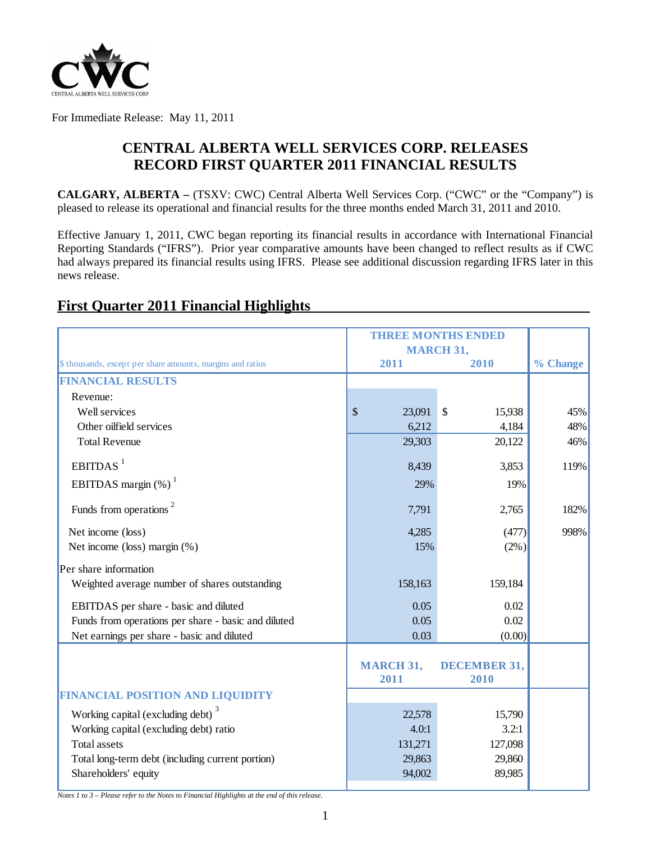

For Immediate Release: May 11, 2011

# **CENTRAL ALBERTA WELL SERVICES CORP. RELEASES RECORD FIRST QUARTER 2011 FINANCIAL RESULTS**

**CALGARY, ALBERTA –** (TSXV: CWC) Central Alberta Well Services Corp. ("CWC" or the "Company") is pleased to release its operational and financial results for the three months ended March 31, 2011 and 2010.

Effective January 1, 2011, CWC began reporting its financial results in accordance with International Financial Reporting Standards ("IFRS"). Prior year comparative amounts have been changed to reflect results as if CWC had always prepared its financial results using IFRS. Please see additional discussion regarding IFRS later in this news release.

# \$ thousands, except per share amounts, margins and ratios **2011 2010 % Change FINANCIAL RESULTS** Revenue: Well services 8 15,938 **15,938** 45% Other oilfield services and the control of the control of the control of the control of the control of the control of the 48% of the 48% of the control of the 48% of the control of the control of the control of the control Total Revenue 29,303 20,122 46%  $EBITDAS<sup>1</sup>$  3,853 119% EBITDAS margin  $(\%)$ <sup>1</sup> 29% 19% Funds from operations  $\frac{2}{2}$  182% Net income (loss) (477) 998% Net income (loss) margin  $\left(\frac{6}{5}\right)$  (2%) Per share information Weighted average number of shares outstanding 158,163 159,184 EBITDAS per share - basic and diluted  $0.05$  0.02 0.02 Funds from operations per share - basic and diluted 0.05 0.02 0.02 Net earnings per share - basic and diluted 0.03 (0.00) (0.00) **MARCH 31, DECEMBER 31, 2011 2010 FINANCIAL POSITION AND LIQUIDITY** Working capital (excluding debt)<sup>3</sup> 15,790 22,578 15,790 Working capital (excluding debt) ratio 4.0:1 4.0:1 4.0:1 3.2:1 Total assets 131,271 127,098 Total long-term debt (including current portion) 29,863 29,860 29,860 Shareholders' equity 89,985 **MARCH 31, THREE MONTHS ENDED**

# **First Quarter 2011 Financial Highlights**

*Notes 1 to 3 – Please refer to the Notes to Financial Highlights at the end of this release.*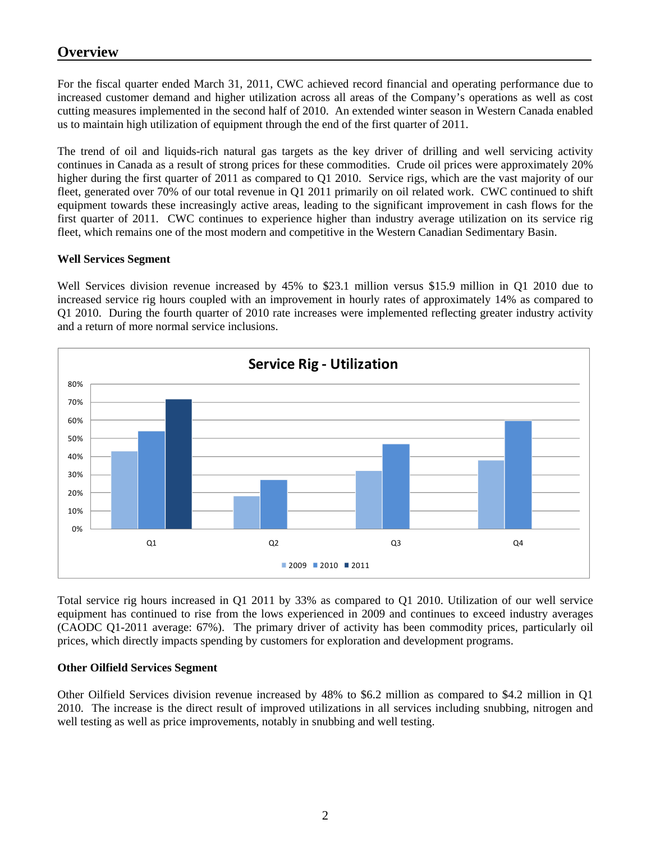# **Overview**

For the fiscal quarter ended March 31, 2011, CWC achieved record financial and operating performance due to increased customer demand and higher utilization across all areas of the Company's operations as well as cost cutting measures implemented in the second half of 2010. An extended winter season in Western Canada enabled us to maintain high utilization of equipment through the end of the first quarter of 2011.

The trend of oil and liquids-rich natural gas targets as the key driver of drilling and well servicing activity continues in Canada as a result of strong prices for these commodities. Crude oil prices were approximately 20% higher during the first quarter of 2011 as compared to Q1 2010. Service rigs, which are the vast majority of our fleet, generated over 70% of our total revenue in Q1 2011 primarily on oil related work. CWC continued to shift equipment towards these increasingly active areas, leading to the significant improvement in cash flows for the first quarter of 2011. CWC continues to experience higher than industry average utilization on its service rig fleet, which remains one of the most modern and competitive in the Western Canadian Sedimentary Basin.

### **Well Services Segment**

Well Services division revenue increased by 45% to \$23.1 million versus \$15.9 million in Q1 2010 due to increased service rig hours coupled with an improvement in hourly rates of approximately 14% as compared to Q1 2010. During the fourth quarter of 2010 rate increases were implemented reflecting greater industry activity and a return of more normal service inclusions.



Total service rig hours increased in Q1 2011 by 33% as compared to Q1 2010. Utilization of our well service equipment has continued to rise from the lows experienced in 2009 and continues to exceed industry averages (CAODC Q1-2011 average: 67%). The primary driver of activity has been commodity prices, particularly oil prices, which directly impacts spending by customers for exploration and development programs.

## **Other Oilfield Services Segment**

Other Oilfield Services division revenue increased by 48% to \$6.2 million as compared to \$4.2 million in Q1 2010. The increase is the direct result of improved utilizations in all services including snubbing, nitrogen and well testing as well as price improvements, notably in snubbing and well testing.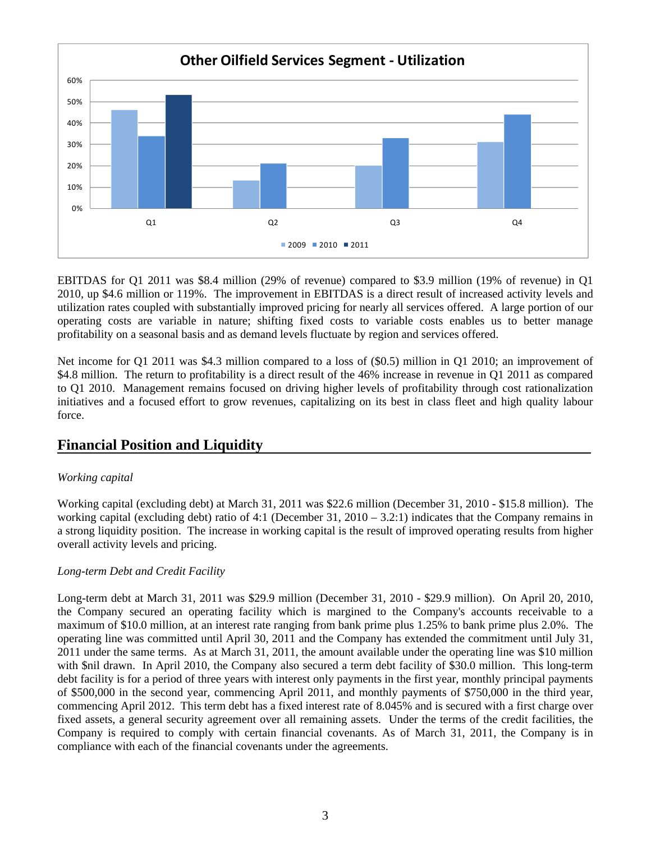

EBITDAS for Q1 2011 was \$8.4 million (29% of revenue) compared to \$3.9 million (19% of revenue) in Q1 2010, up \$4.6 million or 119%. The improvement in EBITDAS is a direct result of increased activity levels and utilization rates coupled with substantially improved pricing for nearly all services offered. A large portion of our operating costs are variable in nature; shifting fixed costs to variable costs enables us to better manage profitability on a seasonal basis and as demand levels fluctuate by region and services offered.

Net income for Q1 2011 was \$4.3 million compared to a loss of (\$0.5) million in Q1 2010; an improvement of \$4.8 million. The return to profitability is a direct result of the 46% increase in revenue in Q1 2011 as compared to Q1 2010. Management remains focused on driving higher levels of profitability through cost rationalization initiatives and a focused effort to grow revenues, capitalizing on its best in class fleet and high quality labour force.

# **Financial Position and Liquidity**

## *Working capital*

Working capital (excluding debt) at March 31, 2011 was \$22.6 million (December 31, 2010 - \$15.8 million). The working capital (excluding debt) ratio of 4:1 (December 31, 2010 – 3.2:1) indicates that the Company remains in a strong liquidity position. The increase in working capital is the result of improved operating results from higher overall activity levels and pricing.

#### *Long-term Debt and Credit Facility*

Long-term debt at March 31, 2011 was \$29.9 million (December 31, 2010 - \$29.9 million). On April 20, 2010, the Company secured an operating facility which is margined to the Company's accounts receivable to a maximum of \$10.0 million, at an interest rate ranging from bank prime plus 1.25% to bank prime plus 2.0%. The operating line was committed until April 30, 2011 and the Company has extended the commitment until July 31, 2011 under the same terms. As at March 31, 2011, the amount available under the operating line was \$10 million with \$nil drawn. In April 2010, the Company also secured a term debt facility of \$30.0 million. This long-term debt facility is for a period of three years with interest only payments in the first year, monthly principal payments of \$500,000 in the second year, commencing April 2011, and monthly payments of \$750,000 in the third year, commencing April 2012. This term debt has a fixed interest rate of 8.045% and is secured with a first charge over fixed assets, a general security agreement over all remaining assets. Under the terms of the credit facilities, the Company is required to comply with certain financial covenants. As of March 31, 2011, the Company is in compliance with each of the financial covenants under the agreements.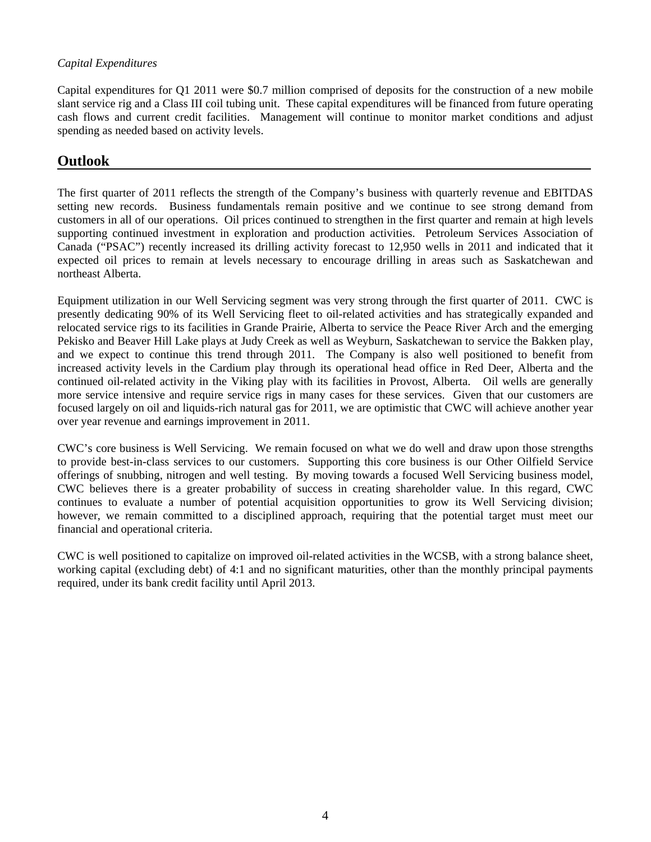### *Capital Expenditures*

Capital expenditures for Q1 2011 were \$0.7 million comprised of deposits for the construction of a new mobile slant service rig and a Class III coil tubing unit. These capital expenditures will be financed from future operating cash flows and current credit facilities. Management will continue to monitor market conditions and adjust spending as needed based on activity levels.

## **Outlook**

The first quarter of 2011 reflects the strength of the Company's business with quarterly revenue and EBITDAS setting new records. Business fundamentals remain positive and we continue to see strong demand from customers in all of our operations. Oil prices continued to strengthen in the first quarter and remain at high levels supporting continued investment in exploration and production activities. Petroleum Services Association of Canada ("PSAC") recently increased its drilling activity forecast to 12,950 wells in 2011 and indicated that it expected oil prices to remain at levels necessary to encourage drilling in areas such as Saskatchewan and northeast Alberta.

Equipment utilization in our Well Servicing segment was very strong through the first quarter of 2011. CWC is presently dedicating 90% of its Well Servicing fleet to oil-related activities and has strategically expanded and relocated service rigs to its facilities in Grande Prairie, Alberta to service the Peace River Arch and the emerging Pekisko and Beaver Hill Lake plays at Judy Creek as well as Weyburn, Saskatchewan to service the Bakken play, and we expect to continue this trend through 2011. The Company is also well positioned to benefit from increased activity levels in the Cardium play through its operational head office in Red Deer, Alberta and the continued oil-related activity in the Viking play with its facilities in Provost, Alberta. Oil wells are generally more service intensive and require service rigs in many cases for these services. Given that our customers are focused largely on oil and liquids-rich natural gas for 2011, we are optimistic that CWC will achieve another year over year revenue and earnings improvement in 2011.

CWC's core business is Well Servicing. We remain focused on what we do well and draw upon those strengths to provide best-in-class services to our customers. Supporting this core business is our Other Oilfield Service offerings of snubbing, nitrogen and well testing. By moving towards a focused Well Servicing business model, CWC believes there is a greater probability of success in creating shareholder value. In this regard, CWC continues to evaluate a number of potential acquisition opportunities to grow its Well Servicing division; however, we remain committed to a disciplined approach, requiring that the potential target must meet our financial and operational criteria.

CWC is well positioned to capitalize on improved oil-related activities in the WCSB, with a strong balance sheet, working capital (excluding debt) of 4:1 and no significant maturities, other than the monthly principal payments required, under its bank credit facility until April 2013.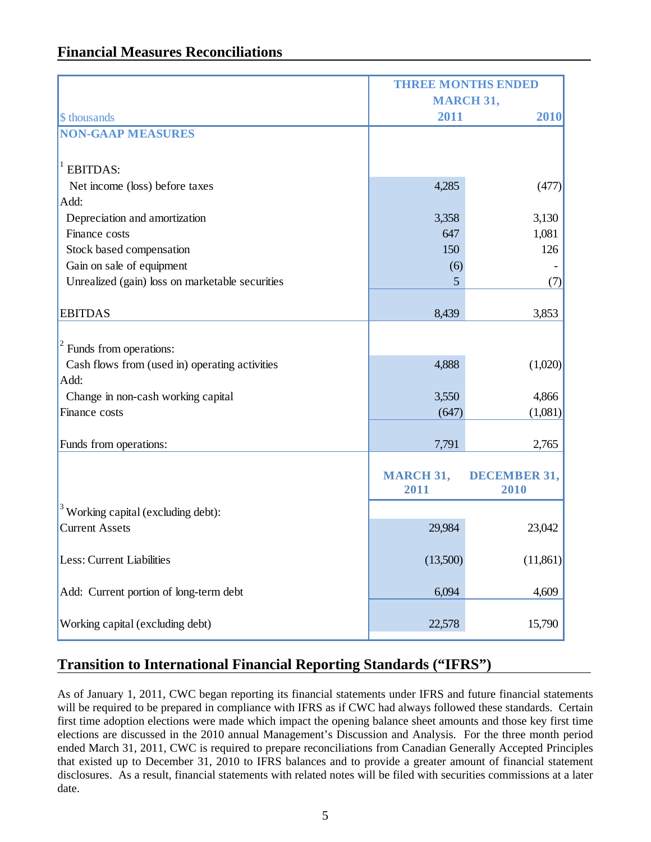# **Financial Measures Reconciliations**

|                                                 | <b>THREE MONTHS ENDED</b> |                     |  |  |
|-------------------------------------------------|---------------------------|---------------------|--|--|
|                                                 | <b>MARCH 31,</b>          |                     |  |  |
| \$ thousands                                    | 2011                      | 2010                |  |  |
| <b>NON-GAAP MEASURES</b>                        |                           |                     |  |  |
|                                                 |                           |                     |  |  |
| <b>EBITDAS:</b>                                 |                           |                     |  |  |
| Net income (loss) before taxes                  | 4,285                     | (477)               |  |  |
| Add:                                            |                           |                     |  |  |
| Depreciation and amortization                   | 3,358                     | 3,130               |  |  |
| Finance costs                                   | 647                       | 1,081               |  |  |
| Stock based compensation                        | 150                       | 126                 |  |  |
| Gain on sale of equipment                       | (6)                       |                     |  |  |
| Unrealized (gain) loss on marketable securities | 5                         | (7)                 |  |  |
|                                                 |                           |                     |  |  |
| <b>EBITDAS</b>                                  | 8,439                     | 3,853               |  |  |
|                                                 |                           |                     |  |  |
| Funds from operations:                          |                           |                     |  |  |
| Cash flows from (used in) operating activities  | 4,888                     | (1,020)             |  |  |
| Add:                                            |                           |                     |  |  |
| Change in non-cash working capital              | 3,550                     | 4,866               |  |  |
| Finance costs                                   | (647)                     | (1,081)             |  |  |
|                                                 |                           |                     |  |  |
| Funds from operations:                          | 7,791                     | 2,765               |  |  |
|                                                 |                           |                     |  |  |
|                                                 | <b>MARCH 31,</b>          | <b>DECEMBER 31,</b> |  |  |
|                                                 | 2011                      | 2010                |  |  |
| Working capital (excluding debt):               |                           |                     |  |  |
| <b>Current Assets</b>                           | 29,984                    | 23,042              |  |  |
|                                                 |                           |                     |  |  |
| Less: Current Liabilities                       | (13,500)                  | (11, 861)           |  |  |
|                                                 |                           |                     |  |  |
| Add: Current portion of long-term debt          | 6,094                     | 4,609               |  |  |
|                                                 |                           |                     |  |  |
| Working capital (excluding debt)                | 22,578                    | 15,790              |  |  |

# **Transition to International Financial Reporting Standards ("IFRS")**

As of January 1, 2011, CWC began reporting its financial statements under IFRS and future financial statements will be required to be prepared in compliance with IFRS as if CWC had always followed these standards. Certain first time adoption elections were made which impact the opening balance sheet amounts and those key first time elections are discussed in the 2010 annual Management's Discussion and Analysis. For the three month period ended March 31, 2011, CWC is required to prepare reconciliations from Canadian Generally Accepted Principles that existed up to December 31, 2010 to IFRS balances and to provide a greater amount of financial statement disclosures. As a result, financial statements with related notes will be filed with securities commissions at a later date.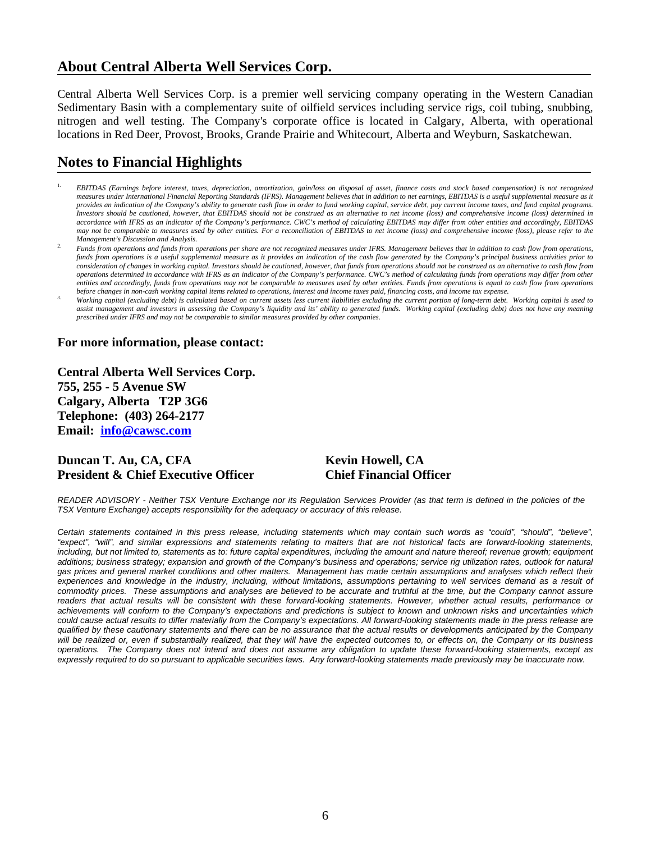# **About Central Alberta Well Services Corp.**

Central Alberta Well Services Corp. is a premier well servicing company operating in the Western Canadian Sedimentary Basin with a complementary suite of oilfield services including service rigs, coil tubing, snubbing, nitrogen and well testing. The Company's corporate office is located in Calgary, Alberta, with operational locations in Red Deer, Provost, Brooks, Grande Prairie and Whitecourt, Alberta and Weyburn, Saskatchewan.

# **Notes to Financial Highlights**

- 1. *EBITDAS (Earnings before interest, taxes, depreciation, amortization, gain/loss on disposal of asset, finance costs and stock based compensation) is not recognized measures under International Financial Reporting Standards (IFRS). Management believes that in addition to net earnings, EBITDAS is a useful supplemental measure as it provides an indication of the Company's ability to generate cash flow in order to fund working capital, service debt, pay current income taxes, and fund capital programs. Investors should be cautioned, however, that EBITDAS should not be construed as an alternative to net income (loss) and comprehensive income (loss) determined in accordance with IFRS as an indicator of the Company's performance. CWC's method of calculating EBITDAS may differ from other entities and accordingly, EBITDAS may not be comparable to measures used by other entities. For a reconciliation of EBITDAS to net income (loss) and comprehensive income (loss), please refer to the Management's Discussion and Analysis.*
- 2. *Funds from operations and funds from operations per share are not recognized measures under IFRS. Management believes that in addition to cash flow from operations, funds from operations is a useful supplemental measure as it provides an indication of the cash flow generated by the Company's principal business activities prior to consideration of changes in working capital. Investors should be cautioned, however, that funds from operations should not be construed as an alternative to cash flow from operations determined in accordance with IFRS as an indicator of the Company's performance. CWC's method of calculating funds from operations may differ from other entities and accordingly, funds from operations may not be comparable to measures used by other entities. Funds from operations is equal to cash flow from operations*
- before changes in non-cash working capital items related to operations, interest and income taxes paid, financing costs, and income tax expense.<br>Working capital (excluding debt) is calculated based on current assets less c assist management and investors in assessing the Company's liquidity and its' ability to generated funds. Working capital (excluding debt) does not have any meaning *prescribed under IFRS and may not be comparable to similar measures provided by other companies.*

### **For more information, please contact:**

**Central Alberta Well Services Corp. 755, 255 - 5 Avenue SW Calgary, Alberta T2P 3G6 Telephone: (403) 264-2177 Email: info@cawsc.com** 

## **Duncan T. Au, CA, CFA Kevin Howell, CA President & Chief Executive Officer Chief Financial Officer**

*READER ADVISORY - Neither TSX Venture Exchange nor its Regulation Services Provider (as that term is defined in the policies of the TSX Venture Exchange) accepts responsibility for the adequacy or accuracy of this release.* 

*Certain statements contained in this press release, including statements which may contain such words as "could", "should", "believe", "expect", "will", and similar expressions and statements relating to matters that are not historical facts are forward-looking statements,*  including, but not limited to, statements as to: future capital expenditures, including the amount and nature thereof; revenue growth; equipment *additions; business strategy; expansion and growth of the Company's business and operations; service rig utilization rates, outlook for natural gas prices and general market conditions and other matters. Management has made certain assumptions and analyses which reflect their experiences and knowledge in the industry, including, without limitations, assumptions pertaining to well services demand as a result of commodity prices. These assumptions and analyses are believed to be accurate and truthful at the time, but the Company cannot assure*  readers that actual results will be consistent with these forward-looking statements. However, whether actual results, performance or *achievements will conform to the Company's expectations and predictions is subject to known and unknown risks and uncertainties which could cause actual results to differ materially from the Company's expectations. All forward-looking statements made in the press release are qualified by these cautionary statements and there can be no assurance that the actual results or developments anticipated by the Company will be realized or, even if substantially realized, that they will have the expected outcomes to, or effects on, the Company or its business operations. The Company does not intend and does not assume any obligation to update these forward-looking statements, except as expressly required to do so pursuant to applicable securities laws. Any forward-looking statements made previously may be inaccurate now.*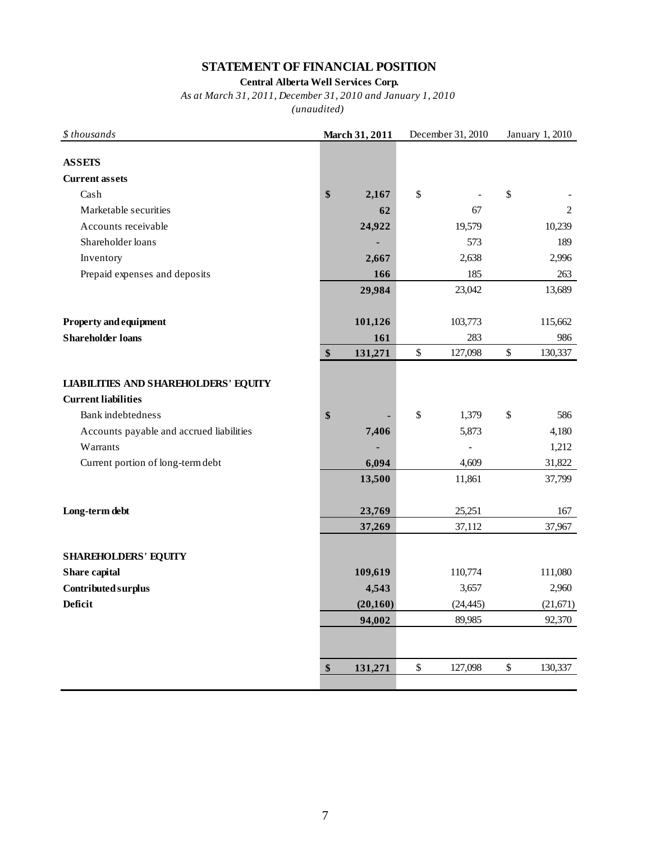## **STATEMENT OF FINANCIAL POSITION**

### **Central Alberta Well Services Corp.**

## *As at March 31, 2011, December 31, 2010 and January 1, 2010*

| $$$ thousands                               | March 31, 2011 |           |      | December 31, 2010 | January 1, 2010 |          |
|---------------------------------------------|----------------|-----------|------|-------------------|-----------------|----------|
|                                             |                |           |      |                   |                 |          |
| <b>ASSETS</b>                               |                |           |      |                   |                 |          |
| <b>Current assets</b>                       |                |           |      |                   |                 |          |
| Cash                                        | \$             | 2,167     | $\$$ |                   | $\$$            |          |
| Marketable securities                       |                | 62        |      | 67                |                 | 2        |
| Accounts receivable                         |                | 24,922    |      | 19,579            |                 | 10,239   |
| Shareholder loans                           |                |           |      | 573               |                 | 189      |
| Inventory                                   |                | 2,667     |      | 2,638             |                 | 2,996    |
| Prepaid expenses and deposits               |                | 166       |      | 185               |                 | 263      |
|                                             |                | 29,984    |      | 23,042            |                 | 13,689   |
|                                             |                |           |      |                   |                 |          |
| Property and equipment                      |                | 101,126   |      | 103,773           |                 | 115,662  |
| <b>Shareholder loans</b>                    |                | 161       |      | 283               |                 | 986      |
|                                             | \$             | 131,271   | $\$$ | 127,098           | $\$$            | 130,337  |
|                                             |                |           |      |                   |                 |          |
| <b>LIABILITIES AND SHAREHOLDERS' EQUITY</b> |                |           |      |                   |                 |          |
| <b>Current liabilities</b>                  |                |           |      |                   |                 |          |
| Bank indebtedness                           | \$             |           | $\$$ | 1,379             | $\mathbb{S}$    | 586      |
| Accounts payable and accrued liabilities    |                | 7,406     |      | 5,873             |                 | 4,180    |
| Warrants                                    |                |           |      |                   |                 | 1,212    |
| Current portion of long-term debt           |                | 6,094     |      | 4,609             |                 | 31,822   |
|                                             |                | 13,500    |      | 11,861            |                 | 37,799   |
|                                             |                |           |      |                   |                 |          |
| Long-term debt                              |                | 23,769    |      | 25,251            |                 | 167      |
|                                             |                | 37,269    |      | 37,112            |                 | 37,967   |
| <b>SHAREHOLDERS' EQUITY</b>                 |                |           |      |                   |                 |          |
| Share capital                               |                | 109,619   |      | 110,774           |                 | 111,080  |
| Contributed surplus                         |                | 4,543     |      | 3,657             |                 | 2,960    |
| <b>Deficit</b>                              |                | (20, 160) |      | (24, 445)         |                 | (21,671) |
|                                             |                | 94,002    |      | 89,985            |                 | 92,370   |
|                                             |                |           |      |                   |                 |          |
|                                             |                |           |      |                   |                 |          |
|                                             | \$             | 131,271   | $\$$ | 127,098           | $\$$            | 130,337  |
|                                             |                |           |      |                   |                 |          |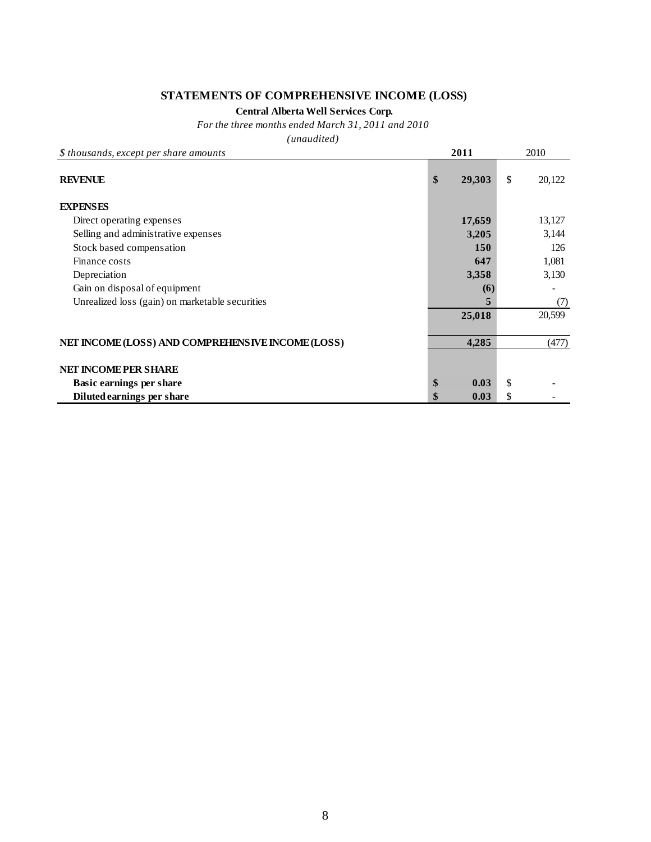## **STATEMENTS OF COMPREHENSIVE INCOME (LOSS)**

#### **Central Alberta Well Services Corp.**

*For the three months ended March 31, 2011 and 2010*

| \$ thousands, except per share amounts            | 2011         |    | 2010   |
|---------------------------------------------------|--------------|----|--------|
| <b>REVENUE</b>                                    | \$<br>29,303 | \$ | 20,122 |
| <b>EXPENSES</b>                                   |              |    |        |
| Direct operating expenses                         | 17,659       |    | 13,127 |
| Selling and administrative expenses               | 3,205        |    | 3,144  |
| Stock based compensation                          | 150          |    | 126    |
| Finance costs                                     | 647          |    | 1,081  |
| Depreciation                                      | 3,358        |    | 3,130  |
| Gain on disposal of equipment                     | (6)          |    |        |
| Unrealized loss (gain) on marketable securities   | 5            |    | (7)    |
|                                                   | 25,018       |    | 20,599 |
| NET INCOME (LOSS) AND COMPREHENSIVE INCOME (LOSS) | 4,285        |    | (477)  |
| <b>NET INCOME PER SHARE</b>                       |              |    |        |
| <b>Basic earnings per share</b>                   | \$<br>0.03   | \$ |        |
| Diluted earnings per share                        | 0.03         | S  |        |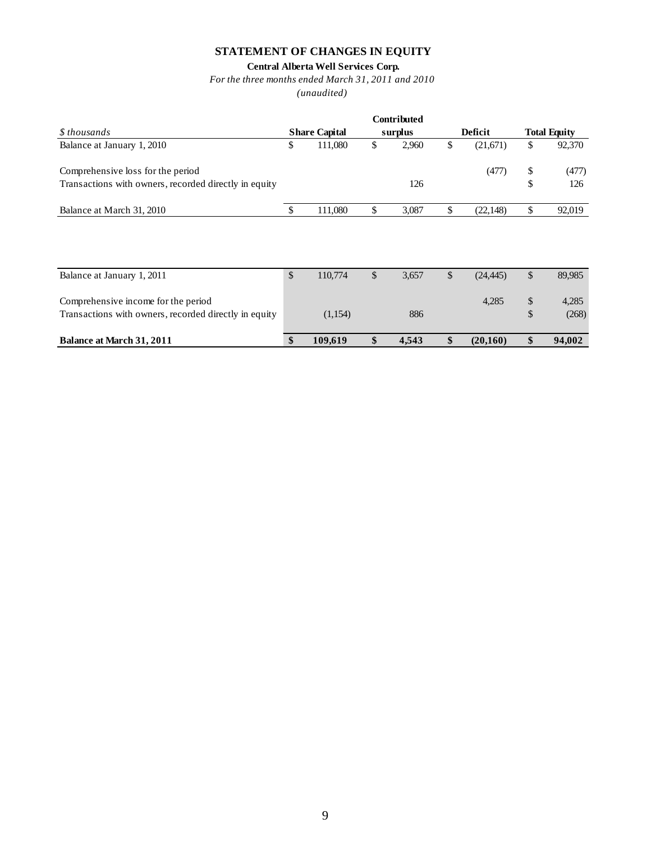## **STATEMENT OF CHANGES IN EQUITY**

## **Central Alberta Well Services Corp.**

*For the three months ended March 31, 2011 and 2010*

|                                                       |              |                      |               | <b>Contributed</b> |              |           |        |                     |
|-------------------------------------------------------|--------------|----------------------|---------------|--------------------|--------------|-----------|--------|---------------------|
| \$ thousands                                          |              | <b>Share Capital</b> |               | surplus            |              | Deficit   |        | <b>Total Equity</b> |
| Balance at January 1, 2010                            | \$           | 111,080              | \$            | 2,960              | \$           | (21,671)  | \$     | 92,370              |
| Comprehensive loss for the period                     |              |                      |               |                    |              | (477)     | \$     | (477)               |
| Transactions with owners, recorded directly in equity |              |                      |               | 126                |              |           | \$     | 126                 |
| Balance at March 31, 2010                             | S            | 111,080              | \$            | 3,087              | \$           | (22, 148) | \$     | 92,019              |
|                                                       |              |                      |               |                    |              |           |        |                     |
| Balance at January 1, 2011                            | $\mathbb{S}$ | 110,774              | $\mathcal{S}$ | 3,657              | $\mathbb{S}$ | (24, 445) | \$     | 89,985              |
| Comprehensive income for the period                   |              |                      |               |                    |              | 4,285     | $\$\,$ | 4,285               |
| Transactions with owners, recorded directly in equity |              | (1,154)              |               | 886                |              |           | \$     | (268)               |
| Balance at March 31, 2011                             | \$           | 109,619              | \$            | 4,543              | \$           | (20,160)  | \$     | 94,002              |